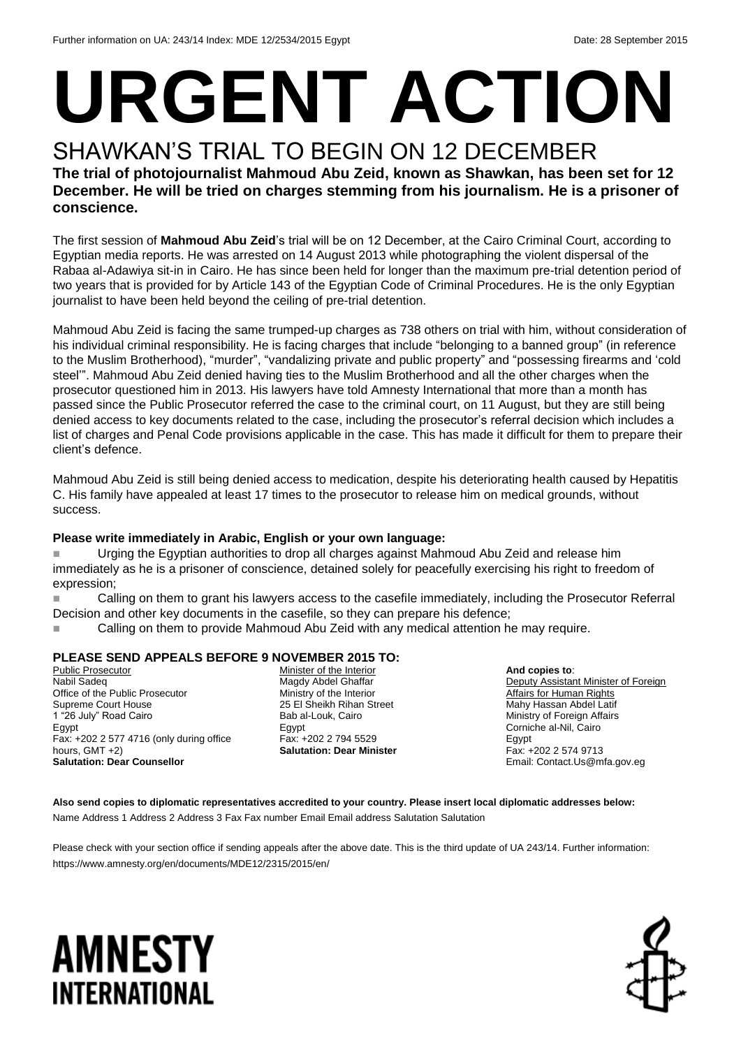# **URGENT ACTION**

#### SHAWKAN'S TRIAL TO BEGIN ON 12 DECEMBER **The trial of photojournalist Mahmoud Abu Zeid, known as Shawkan, has been set for 12 December. He will be tried on charges stemming from his journalism. He is a prisoner of conscience.**

The first session of **Mahmoud Abu Zeid**'s trial will be on 12 December, at the Cairo Criminal Court, according to Egyptian media reports. He was arrested on 14 August 2013 while photographing the violent dispersal of the Rabaa al-Adawiya sit-in in Cairo. He has since been held for longer than the maximum pre-trial detention period of two years that is provided for by Article 143 of the Egyptian Code of Criminal Procedures. He is the only Egyptian journalist to have been held beyond the ceiling of pre-trial detention.

Mahmoud Abu Zeid is facing the same trumped-up charges as 738 others on trial with him, without consideration of his individual criminal responsibility. He is facing charges that include "belonging to a banned group" (in reference to the Muslim Brotherhood), "murder", "vandalizing private and public property" and "possessing firearms and 'cold steel'". Mahmoud Abu Zeid denied having ties to the Muslim Brotherhood and all the other charges when the prosecutor questioned him in 2013. His lawyers have told Amnesty International that more than a month has passed since the Public Prosecutor referred the case to the criminal court, on 11 August, but they are still being denied access to key documents related to the case, including the prosecutor's referral decision which includes a list of charges and Penal Code provisions applicable in the case. This has made it difficult for them to prepare their client's defence.

Mahmoud Abu Zeid is still being denied access to medication, despite his deteriorating health caused by Hepatitis C. His family have appealed at least 17 times to the prosecutor to release him on medical grounds, without success.

#### **Please write immediately in Arabic, English or your own language:**

**Urging the Egyptian authorities to drop all charges against Mahmoud Abu Zeid and release him** immediately as he is a prisoner of conscience, detained solely for peacefully exercising his right to freedom of expression;

 Calling on them to grant his lawyers access to the casefile immediately, including the Prosecutor Referral Decision and other key documents in the casefile, so they can prepare his defence;

Calling on them to provide Mahmoud Abu Zeid with any medical attention he may require.

#### **PLEASE SEND APPEALS BEFORE 9 NOVEMBER 2015 TO:**

Public Prosecutor Nabil Sadeq Office of the Public Prosecutor Supreme Court House 1 "26 July" Road Cairo Egypt Fax: +202 2 577 4716 (only during office hours, GMT +2) **Salutation: Dear Counsellor**

Minister of the Interior Magdy Abdel Ghaffar Ministry of the Interior 25 El Sheikh Rihan Street Bab al-Louk, Cairo Egypt Fax: +202 2 794 5529 **Salutation: Dear Minister**

**And copies to**: Deputy Assistant Minister of Foreign **Affairs for Human Rights** Mahy Hassan Abdel Latif Ministry of Foreign Affairs Corniche al-Nil, Cairo Egypt Fax: +202 2 574 9713 Email: Contact.Us@mfa.gov.eg

**Also send copies to diplomatic representatives accredited to your country. Please insert local diplomatic addresses below:** Name Address 1 Address 2 Address 3 Fax Fax number Email Email address Salutation Salutation

Please check with your section office if sending appeals after the above date. This is the third update of UA 243/14. Further information: <https://www.amnesty.org/en/documents/MDE12/2315/2015/en/>